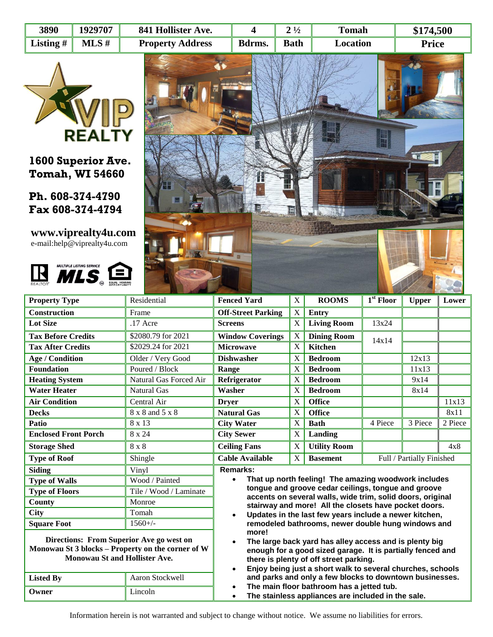| 3890        | 1929707  | 841 Hollister Ave.      |        | $2\frac{1}{2}$ | Tomah    | \$174,500    |  |
|-------------|----------|-------------------------|--------|----------------|----------|--------------|--|
| Listing $#$ | $MLS \#$ | <b>Property Address</b> | Bdrms. | <b>Bath</b>    | Location | <b>Price</b> |  |



**1600 Superior Ave. Tomah, WI 54660**

**Ph. 608-374-4790 Fax 608-374-4794**

**www.viprealty4u.com** e-mail:help@viprealty4u.com





| <b>Property Type</b>                                                                                                                  | Residential                                                                                                                                                                                                                                                     | <b>Fenced Yard</b>                                                                                                        | X                         | <b>ROOMS</b>        | $1st$ Floor | <b>Upper</b>              | Lower   |
|---------------------------------------------------------------------------------------------------------------------------------------|-----------------------------------------------------------------------------------------------------------------------------------------------------------------------------------------------------------------------------------------------------------------|---------------------------------------------------------------------------------------------------------------------------|---------------------------|---------------------|-------------|---------------------------|---------|
| <b>Construction</b>                                                                                                                   | Frame                                                                                                                                                                                                                                                           | <b>Off-Street Parking</b>                                                                                                 | $\boldsymbol{\mathrm{X}}$ | <b>Entry</b>        |             |                           |         |
| <b>Lot Size</b>                                                                                                                       | $.17$ Acre                                                                                                                                                                                                                                                      | <b>Screens</b>                                                                                                            | X                         | <b>Living Room</b>  | 13x24       |                           |         |
| <b>Tax Before Credits</b>                                                                                                             | \$2080.79 for 2021                                                                                                                                                                                                                                              | <b>Window Coverings</b>                                                                                                   | X                         | <b>Dining Room</b>  | 14x14       |                           |         |
| <b>Tax After Credits</b>                                                                                                              | \$2029.24 for 2021                                                                                                                                                                                                                                              | <b>Microwave</b>                                                                                                          |                           | <b>Kitchen</b>      |             |                           |         |
| <b>Age / Condition</b>                                                                                                                | Older / Very Good                                                                                                                                                                                                                                               | <b>Dishwasher</b>                                                                                                         | X                         | <b>Bedroom</b>      |             | 12x13                     |         |
| <b>Foundation</b>                                                                                                                     | Poured / Block                                                                                                                                                                                                                                                  | Range                                                                                                                     | X                         | <b>Bedroom</b>      |             | 11x13                     |         |
| <b>Heating System</b>                                                                                                                 | Natural Gas Forced Air                                                                                                                                                                                                                                          | Refrigerator                                                                                                              | X                         | <b>Bedroom</b>      |             | 9x14                      |         |
| <b>Water Heater</b>                                                                                                                   | <b>Natural Gas</b>                                                                                                                                                                                                                                              | Washer                                                                                                                    | X                         | <b>Bedroom</b>      |             | 8x14                      |         |
| <b>Air Condition</b>                                                                                                                  | Central Air                                                                                                                                                                                                                                                     | <b>Drver</b>                                                                                                              | X                         | <b>Office</b>       |             |                           | 11x13   |
| <b>Decks</b>                                                                                                                          | 8 x 8 and 5 x 8                                                                                                                                                                                                                                                 | <b>Natural Gas</b>                                                                                                        | X                         | <b>Office</b>       |             |                           | 8x11    |
| Patio                                                                                                                                 | 8 x 13                                                                                                                                                                                                                                                          | <b>City Water</b>                                                                                                         | $\boldsymbol{\mathrm{X}}$ | <b>Bath</b>         | 4 Piece     | 3 Piece                   | 2 Piece |
| <b>Enclosed Front Porch</b>                                                                                                           | 8 x 24                                                                                                                                                                                                                                                          | <b>City Sewer</b>                                                                                                         | X                         | Landing             |             |                           |         |
| <b>Storage Shed</b>                                                                                                                   | 8 x 8                                                                                                                                                                                                                                                           | <b>Ceiling Fans</b>                                                                                                       | X                         | <b>Utility Room</b> |             |                           | 4x8     |
| <b>Type of Roof</b>                                                                                                                   | Shingle                                                                                                                                                                                                                                                         | <b>Cable Available</b>                                                                                                    | X                         | <b>Basement</b>     |             | Full / Partially Finished |         |
| <b>Siding</b>                                                                                                                         | Vinyl                                                                                                                                                                                                                                                           | <b>Remarks:</b>                                                                                                           |                           |                     |             |                           |         |
| <b>Type of Walls</b>                                                                                                                  | Wood / Painted                                                                                                                                                                                                                                                  | That up north feeling! The amazing woodwork includes<br>$\bullet$                                                         |                           |                     |             |                           |         |
| <b>Type of Floors</b>                                                                                                                 | Tile / Wood / Laminate                                                                                                                                                                                                                                          | tongue and groove cedar ceilings, tongue and groove                                                                       |                           |                     |             |                           |         |
| County                                                                                                                                | Monroe                                                                                                                                                                                                                                                          | accents on several walls, wide trim, solid doors, original<br>stairway and more! All the closets have pocket doors.       |                           |                     |             |                           |         |
| <b>City</b>                                                                                                                           | Tomah                                                                                                                                                                                                                                                           | Updates in the last few years include a newer kitchen,<br>$\bullet$<br>remodeled bathrooms, newer double hung windows and |                           |                     |             |                           |         |
| <b>Square Foot</b>                                                                                                                    | $1560+/-$                                                                                                                                                                                                                                                       |                                                                                                                           |                           |                     |             |                           |         |
| Directions: From Superior Ave go west on<br>Monowau St 3 blocks - Property on the corner of W<br><b>Monowau St and Hollister Ave.</b> | more!<br>The large back yard has alley access and is plenty big<br>$\bullet$<br>enough for a good sized garage. It is partially fenced and<br>there is plenty of off street parking.<br>Eniov being just a short walk to several churches, schools<br>$\bullet$ |                                                                                                                           |                           |                     |             |                           |         |

| <b>Listed By</b> | Aaron Stockwell |  |  |  |
|------------------|-----------------|--|--|--|
| Owner            | Lincoln         |  |  |  |

- **Enjoy being just a short walk to several churches, schools and parks and only a few blocks to downtown businesses.**
- **The main floor bathroom has a jetted tub.**
- **The stainless appliances are included in the sale.**